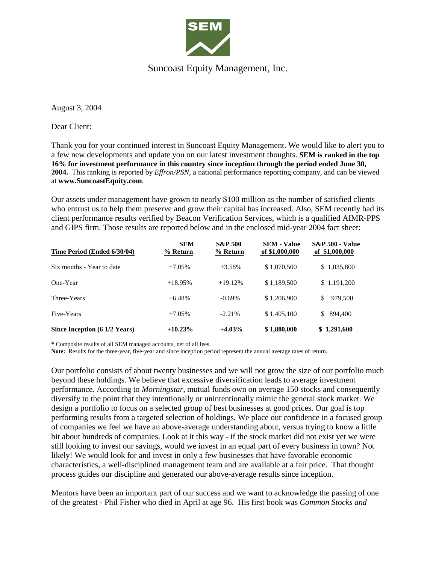

## Suncoast Equity Management, Inc.

August 3, 2004

Dear Client:

Thank you for your continued interest in Suncoast Equity Management. We would like to alert you to a few new developments and update you on our latest investment thoughts. **SEM is ranked in the top 16% for investment performance in this country since inception through the period ended June 30, 2004.** This ranking is reported by *Effron/PSN*, a national performance reporting company, and can be viewed at **www.SuncoastEquity.com**.

Our assets under management have grown to nearly \$100 million as the number of satisfied clients who entrust us to help them preserve and grow their capital has increased. Also, SEM recently had its client performance results verified by Beacon Verification Services, which is a qualified AIMR-PPS and GIPS firm. Those results are reported below and in the enclosed mid-year 2004 fact sheet:

| Time Period (Ended 6/30/04)   | <b>SEM</b><br>$%$ Return | <b>S&amp;P 500</b><br>% Return | <b>SEM - Value</b><br>of \$1,000,000 | <b>S&amp;P 500 - Value</b><br>of \$1,000,000 |
|-------------------------------|--------------------------|--------------------------------|--------------------------------------|----------------------------------------------|
| Six months - Year to date     | $+7.05%$                 | $+3.58%$                       | \$1,070,500                          | \$1,035,800                                  |
| One-Year                      | $+18.95%$                | $+19.12%$                      | \$1,189,500                          | \$1,191,200                                  |
| Three-Years                   | $+6.48\%$                | $-0.69\%$                      | \$1,206,900                          | 979,500<br>\$                                |
| Five-Years                    | $+7.05%$                 | $-2.21%$                       | \$1,405,100                          | \$ 894,400                                   |
| Since Inception (6 1/2 Years) | $+10.23%$                | $+4.03\%$                      | \$1,880,000                          | \$1,291,600                                  |

**\*** Composite results of all SEM managed accounts, net of all fees.

**Note:** Results for the three-year, five-year and since inception period represent the annual average rates of return.

Our portfolio consists of about twenty businesses and we will not grow the size of our portfolio much beyond these holdings. We believe that excessive diversification leads to average investment performance. According to *Morningstar*, mutual funds own on average 150 stocks and consequently diversify to the point that they intentionally or unintentionally mimic the general stock market. We design a portfolio to focus on a selected group of best businesses at good prices. Our goal is top performing results from a targeted selection of holdings. We place our confidence in a focused group of companies we feel we have an above-average understanding about, versus trying to know a little bit about hundreds of companies. Look at it this way - if the stock market did not exist yet we were still looking to invest our savings, would we invest in an equal part of every business in town? Not likely! We would look for and invest in only a few businesses that have favorable economic characteristics, a well-disciplined management team and are available at a fair price. That thought process guides our discipline and generated our above-average results since inception.

Mentors have been an important part of our success and we want to acknowledge the passing of one of the greatest - Phil Fisher who died in April at age 96. His first book was *Common Stocks and*